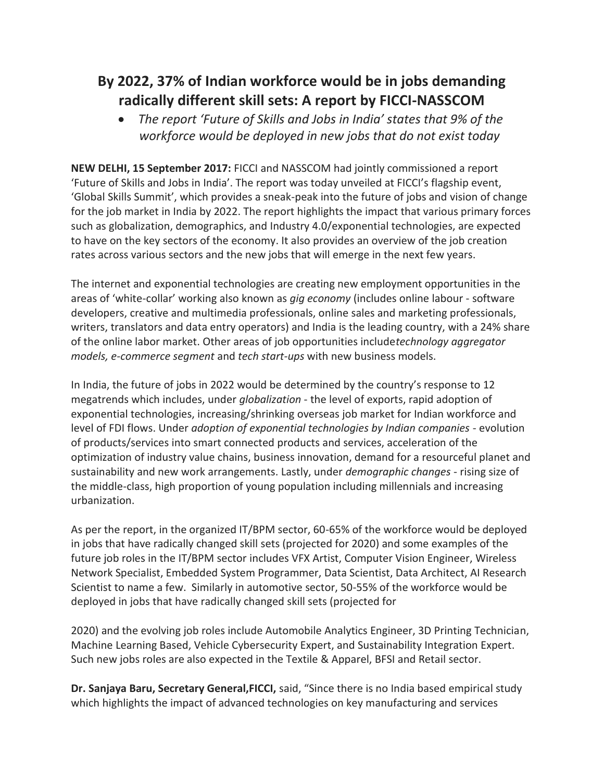## **By 2022, 37% of Indian workforce would be in jobs demanding radically different skill sets: A report by FICCI-NASSCOM**

 *The report 'Future of Skills and Jobs in India' states that 9% of the workforce would be deployed in new jobs that do not exist today*

**NEW DELHI, 15 September 2017:** FICCI and NASSCOM had jointly commissioned a report 'Future of Skills and Jobs in India'. The report was today unveiled at FICCI's flagship event, 'Global Skills Summit', which provides a sneak-peak into the future of jobs and vision of change for the job market in India by 2022. The report highlights the impact that various primary forces such as globalization, demographics, and Industry 4.0/exponential technologies, are expected to have on the key sectors of the economy. It also provides an overview of the job creation rates across various sectors and the new jobs that will emerge in the next few years.

The internet and exponential technologies are creating new employment opportunities in the areas of 'white-collar' working also known as *gig economy* (includes online labour - software developers, creative and multimedia professionals, online sales and marketing professionals, writers, translators and data entry operators) and India is the leading country, with a 24% share of the online labor market. Other areas of job opportunities include*technology aggregator models, e-commerce segment* and *tech start-ups* with new business models.

In India, the future of jobs in 2022 would be determined by the country's response to 12 megatrends which includes, under *globalization* - the level of exports, rapid adoption of exponential technologies, increasing/shrinking overseas job market for Indian workforce and level of FDI flows. Under *adoption of exponential technologies by Indian companies* - evolution of products/services into smart connected products and services, acceleration of the optimization of industry value chains, business innovation, demand for a resourceful planet and sustainability and new work arrangements. Lastly, under *demographic changes* - rising size of the middle-class, high proportion of young population including millennials and increasing urbanization.

As per the report, in the organized IT/BPM sector, 60-65% of the workforce would be deployed in jobs that have radically changed skill sets (projected for 2020) and some examples of the future job roles in the IT/BPM sector includes VFX Artist, Computer Vision Engineer, Wireless Network Specialist, Embedded System Programmer, Data Scientist, Data Architect, AI Research Scientist to name a few. Similarly in automotive sector, 50-55% of the workforce would be deployed in jobs that have radically changed skill sets (projected for

2020) and the evolving job roles include Automobile Analytics Engineer, 3D Printing Technician, Machine Learning Based, Vehicle Cybersecurity Expert, and Sustainability Integration Expert. Such new jobs roles are also expected in the Textile & Apparel, BFSI and Retail sector.

**Dr. Sanjaya Baru, Secretary General,FICCI,** said, "Since there is no India based empirical study which highlights the impact of advanced technologies on key manufacturing and services